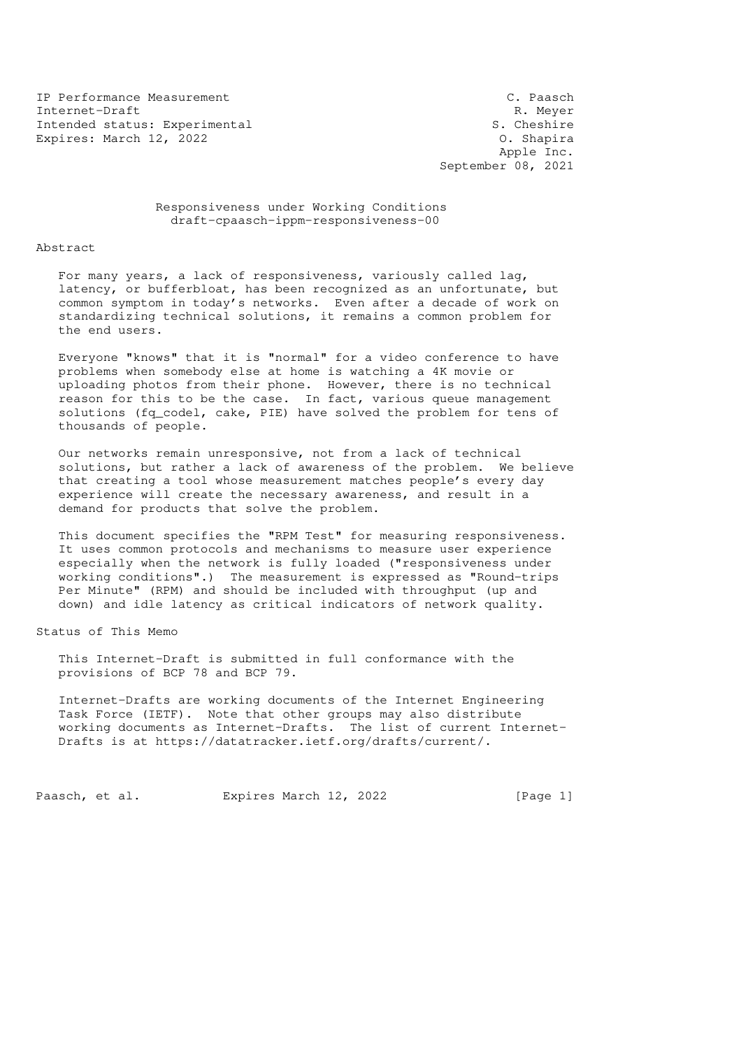IP Performance Measurement C. Paasch Internet-Draft R. Meyer<br>Intended status: Experimental and R. Cheshire R. Cheshire Intended status: Experimental S. Cheshire<br>Expires: March 12, 2022 0. Shapira Expires: March 12, 2022

 Apple Inc. September 08, 2021

 Responsiveness under Working Conditions draft-cpaasch-ippm-responsiveness-00

Abstract

 For many years, a lack of responsiveness, variously called lag, latency, or bufferbloat, has been recognized as an unfortunate, but common symptom in today's networks. Even after a decade of work on standardizing technical solutions, it remains a common problem for the end users.

 Everyone "knows" that it is "normal" for a video conference to have problems when somebody else at home is watching a 4K movie or uploading photos from their phone. However, there is no technical reason for this to be the case. In fact, various queue management solutions (fq\_codel, cake, PIE) have solved the problem for tens of thousands of people.

 Our networks remain unresponsive, not from a lack of technical solutions, but rather a lack of awareness of the problem. We believe that creating a tool whose measurement matches people's every day experience will create the necessary awareness, and result in a demand for products that solve the problem.

 This document specifies the "RPM Test" for measuring responsiveness. It uses common protocols and mechanisms to measure user experience especially when the network is fully loaded ("responsiveness under working conditions".) The measurement is expressed as "Round-trips Per Minute" (RPM) and should be included with throughput (up and down) and idle latency as critical indicators of network quality.

Status of This Memo

 This Internet-Draft is submitted in full conformance with the provisions of BCP 78 and BCP 79.

 Internet-Drafts are working documents of the Internet Engineering Task Force (IETF). Note that other groups may also distribute working documents as Internet-Drafts. The list of current Internet- Drafts is at https://datatracker.ietf.org/drafts/current/.

Paasch, et al. Expires March 12, 2022 [Page 1]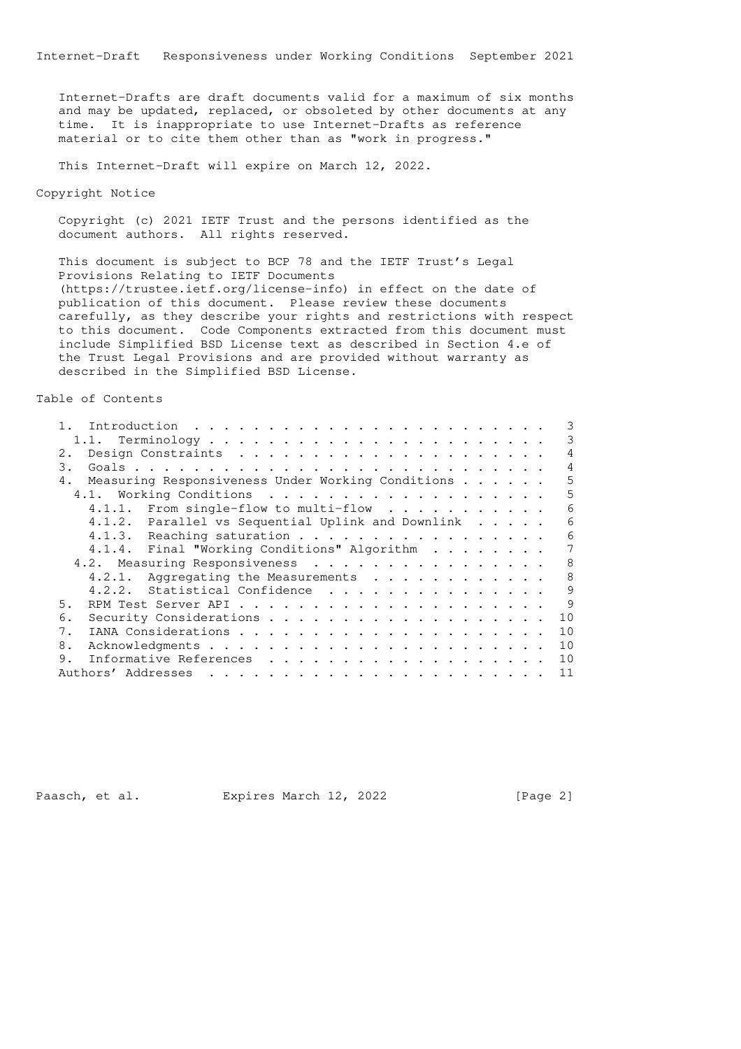Internet-Drafts are draft documents valid for a maximum of six months and may be updated, replaced, or obsoleted by other documents at any time. It is inappropriate to use Internet-Drafts as reference material or to cite them other than as "work in progress."

This Internet-Draft will expire on March 12, 2022.

Copyright Notice

 Copyright (c) 2021 IETF Trust and the persons identified as the document authors. All rights reserved.

 This document is subject to BCP 78 and the IETF Trust's Legal Provisions Relating to IETF Documents (https://trustee.ietf.org/license-info) in effect on the date of publication of this document. Please review these documents carefully, as they describe your rights and restrictions with respect to this document. Code Components extracted from this document must include Simplified BSD License text as described in Section 4.e of the Trust Legal Provisions and are provided without warranty as described in the Simplified BSD License.

Table of Contents

|  | 3                                                                                                                                                                                                                                                                                                                                       |
|--|-----------------------------------------------------------------------------------------------------------------------------------------------------------------------------------------------------------------------------------------------------------------------------------------------------------------------------------------|
|  |                                                                                                                                                                                                                                                                                                                                         |
|  | 4                                                                                                                                                                                                                                                                                                                                       |
|  | 4                                                                                                                                                                                                                                                                                                                                       |
|  | 5                                                                                                                                                                                                                                                                                                                                       |
|  | 5                                                                                                                                                                                                                                                                                                                                       |
|  | 6                                                                                                                                                                                                                                                                                                                                       |
|  | 6                                                                                                                                                                                                                                                                                                                                       |
|  | 6                                                                                                                                                                                                                                                                                                                                       |
|  | 7                                                                                                                                                                                                                                                                                                                                       |
|  | 8                                                                                                                                                                                                                                                                                                                                       |
|  | 8                                                                                                                                                                                                                                                                                                                                       |
|  | 9                                                                                                                                                                                                                                                                                                                                       |
|  | 9                                                                                                                                                                                                                                                                                                                                       |
|  | 10                                                                                                                                                                                                                                                                                                                                      |
|  | 10                                                                                                                                                                                                                                                                                                                                      |
|  | 10                                                                                                                                                                                                                                                                                                                                      |
|  | 10                                                                                                                                                                                                                                                                                                                                      |
|  | 11                                                                                                                                                                                                                                                                                                                                      |
|  | Measuring Responsiveness Under Working Conditions<br>4.1.1. From single-flow to multi-flow $\cdots$<br>4.1.2. Parallel vs Sequential Uplink and Downlink<br>4.1.3. Reaching saturation<br>4.1.4. Final "Working Conditions" Algorithm<br>4.2. Measuring Responsiveness<br>4.2.1. Aggregating the Measurements<br>Statistical Confidence |

Paasch, et al. Expires March 12, 2022 [Page 2]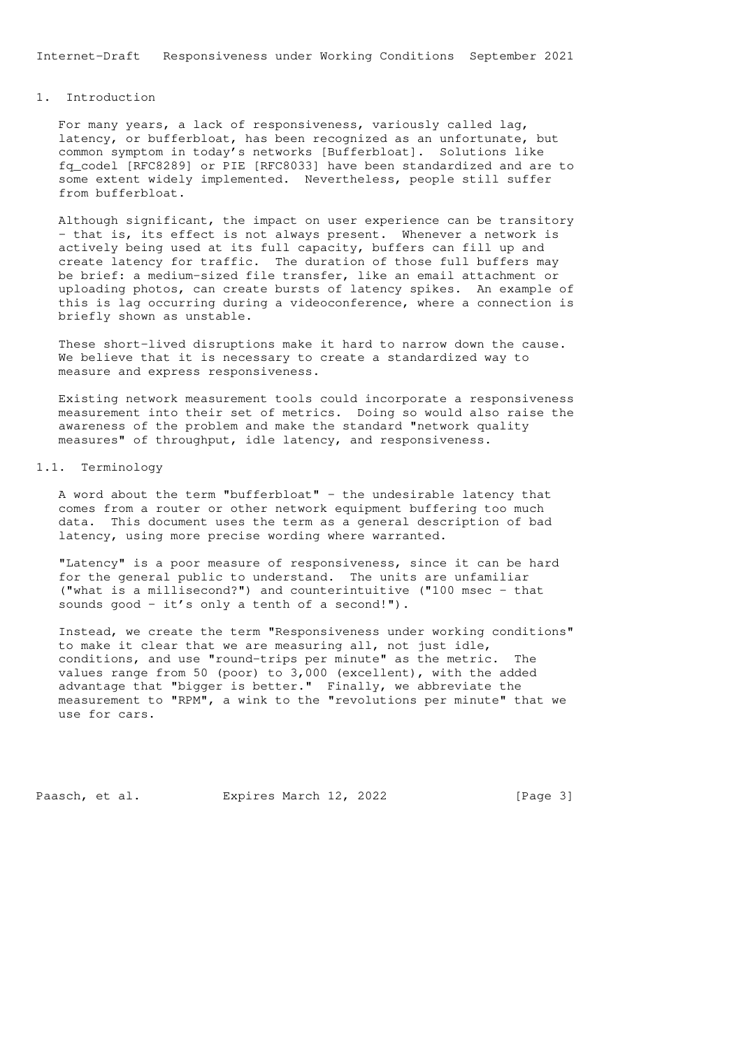# 1. Introduction

 For many years, a lack of responsiveness, variously called lag, latency, or bufferbloat, has been recognized as an unfortunate, but common symptom in today's networks [Bufferbloat]. Solutions like fq\_codel [RFC8289] or PIE [RFC8033] have been standardized and are to some extent widely implemented. Nevertheless, people still suffer from bufferbloat.

 Although significant, the impact on user experience can be transitory - that is, its effect is not always present. Whenever a network is actively being used at its full capacity, buffers can fill up and create latency for traffic. The duration of those full buffers may be brief: a medium-sized file transfer, like an email attachment or uploading photos, can create bursts of latency spikes. An example of this is lag occurring during a videoconference, where a connection is briefly shown as unstable.

 These short-lived disruptions make it hard to narrow down the cause. We believe that it is necessary to create a standardized way to measure and express responsiveness.

 Existing network measurement tools could incorporate a responsiveness measurement into their set of metrics. Doing so would also raise the awareness of the problem and make the standard "network quality measures" of throughput, idle latency, and responsiveness.

## 1.1. Terminology

A word about the term "bufferbloat" - the undesirable latency that comes from a router or other network equipment buffering too much data. This document uses the term as a general description of bad latency, using more precise wording where warranted.

 "Latency" is a poor measure of responsiveness, since it can be hard for the general public to understand. The units are unfamiliar ("what is a millisecond?") and counterintuitive ("100 msec - that sounds good - it's only a tenth of a second!").

 Instead, we create the term "Responsiveness under working conditions" to make it clear that we are measuring all, not just idle, conditions, and use "round-trips per minute" as the metric. The values range from 50 (poor) to 3,000 (excellent), with the added advantage that "bigger is better." Finally, we abbreviate the measurement to "RPM", a wink to the "revolutions per minute" that we use for cars.

Paasch, et al. Expires March 12, 2022 [Page 3]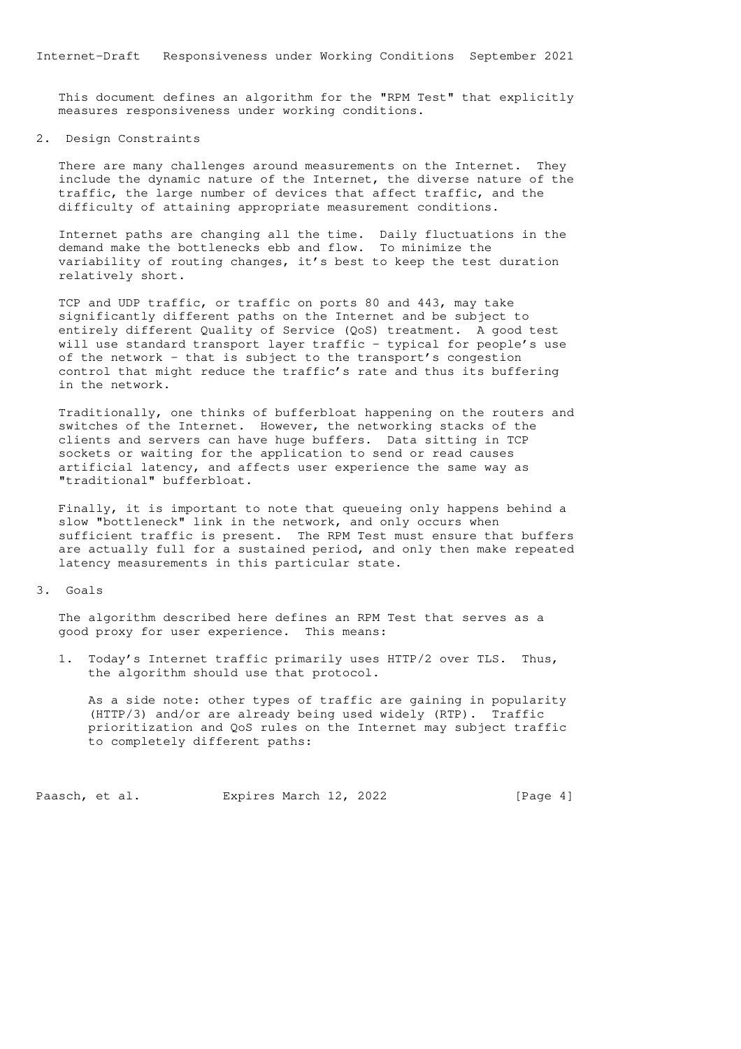This document defines an algorithm for the "RPM Test" that explicitly measures responsiveness under working conditions.

#### 2. Design Constraints

 There are many challenges around measurements on the Internet. They include the dynamic nature of the Internet, the diverse nature of the traffic, the large number of devices that affect traffic, and the difficulty of attaining appropriate measurement conditions.

 Internet paths are changing all the time. Daily fluctuations in the demand make the bottlenecks ebb and flow. To minimize the variability of routing changes, it's best to keep the test duration relatively short.

 TCP and UDP traffic, or traffic on ports 80 and 443, may take significantly different paths on the Internet and be subject to entirely different Quality of Service (QoS) treatment. A good test will use standard transport layer traffic - typical for people's use of the network - that is subject to the transport's congestion control that might reduce the traffic's rate and thus its buffering in the network.

 Traditionally, one thinks of bufferbloat happening on the routers and switches of the Internet. However, the networking stacks of the clients and servers can have huge buffers. Data sitting in TCP sockets or waiting for the application to send or read causes artificial latency, and affects user experience the same way as "traditional" bufferbloat.

 Finally, it is important to note that queueing only happens behind a slow "bottleneck" link in the network, and only occurs when sufficient traffic is present. The RPM Test must ensure that buffers are actually full for a sustained period, and only then make repeated latency measurements in this particular state.

#### 3. Goals

 The algorithm described here defines an RPM Test that serves as a good proxy for user experience. This means:

 1. Today's Internet traffic primarily uses HTTP/2 over TLS. Thus, the algorithm should use that protocol.

 As a side note: other types of traffic are gaining in popularity (HTTP/3) and/or are already being used widely (RTP). Traffic prioritization and QoS rules on the Internet may subject traffic to completely different paths:

Paasch, et al. Expires March 12, 2022 [Page 4]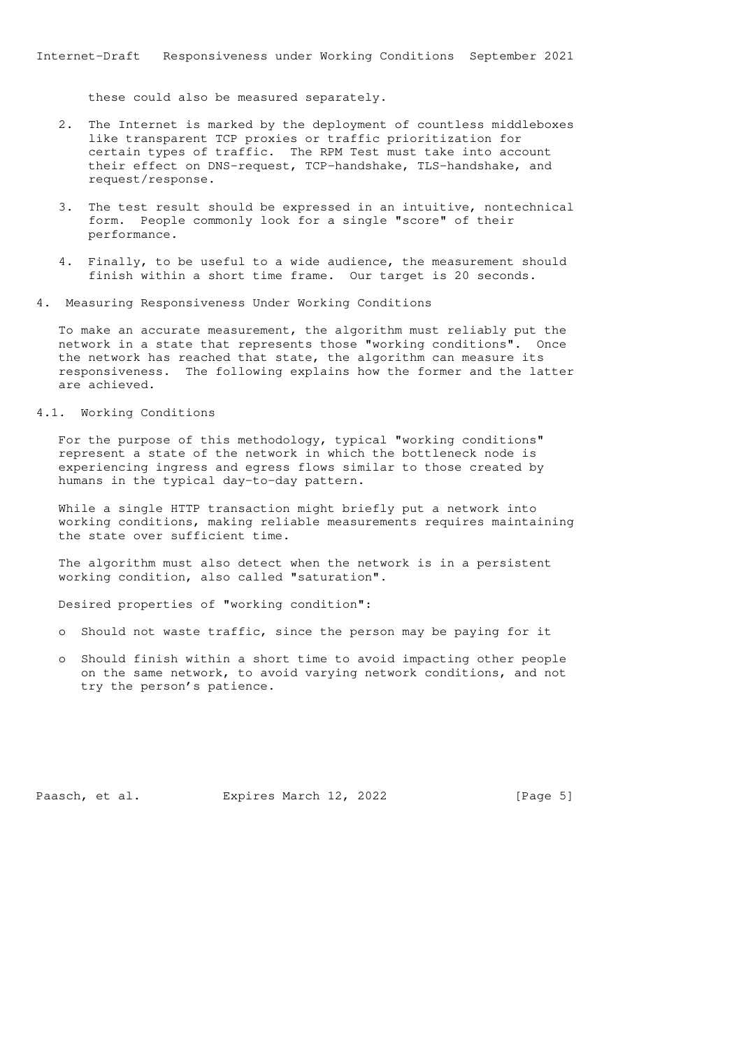these could also be measured separately.

- 2. The Internet is marked by the deployment of countless middleboxes like transparent TCP proxies or traffic prioritization for certain types of traffic. The RPM Test must take into account their effect on DNS-request, TCP-handshake, TLS-handshake, and request/response.
- 3. The test result should be expressed in an intuitive, nontechnical form. People commonly look for a single "score" of their performance.
- 4. Finally, to be useful to a wide audience, the measurement should finish within a short time frame. Our target is 20 seconds.
- 4. Measuring Responsiveness Under Working Conditions

 To make an accurate measurement, the algorithm must reliably put the network in a state that represents those "working conditions". Once the network has reached that state, the algorithm can measure its responsiveness. The following explains how the former and the latter are achieved.

# 4.1. Working Conditions

 For the purpose of this methodology, typical "working conditions" represent a state of the network in which the bottleneck node is experiencing ingress and egress flows similar to those created by humans in the typical day-to-day pattern.

 While a single HTTP transaction might briefly put a network into working conditions, making reliable measurements requires maintaining the state over sufficient time.

 The algorithm must also detect when the network is in a persistent working condition, also called "saturation".

Desired properties of "working condition":

- o Should not waste traffic, since the person may be paying for it
- o Should finish within a short time to avoid impacting other people on the same network, to avoid varying network conditions, and not try the person's patience.

Paasch, et al. Expires March 12, 2022 [Page 5]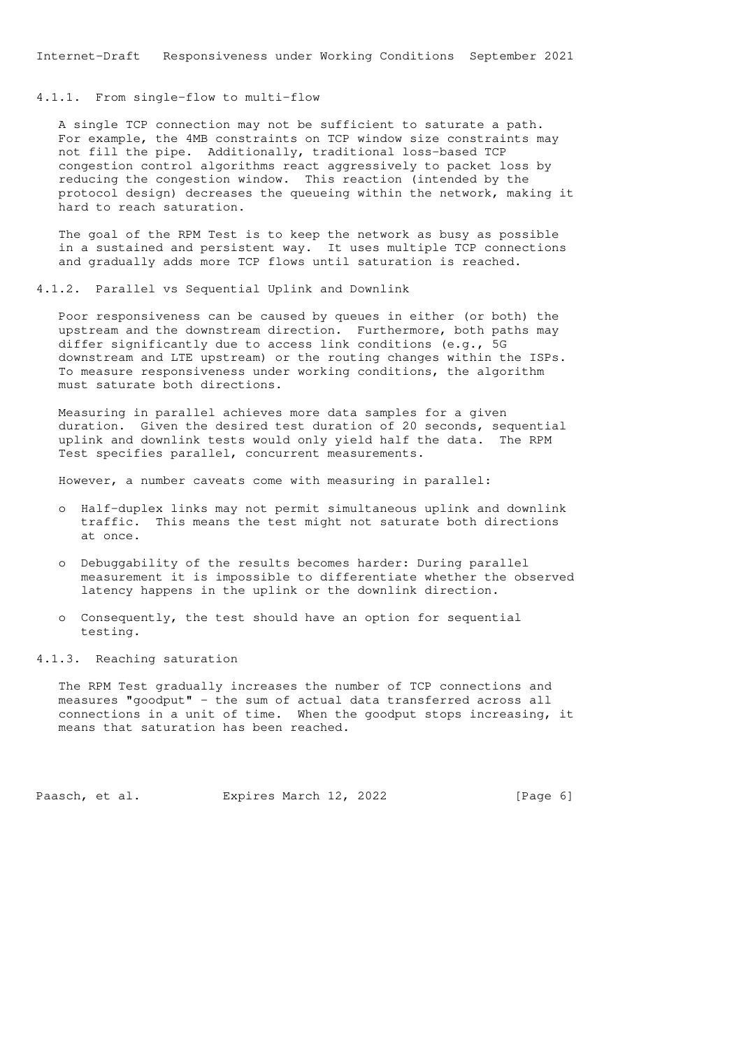#### 4.1.1. From single-flow to multi-flow

 A single TCP connection may not be sufficient to saturate a path. For example, the 4MB constraints on TCP window size constraints may not fill the pipe. Additionally, traditional loss-based TCP congestion control algorithms react aggressively to packet loss by reducing the congestion window. This reaction (intended by the protocol design) decreases the queueing within the network, making it hard to reach saturation.

 The goal of the RPM Test is to keep the network as busy as possible in a sustained and persistent way. It uses multiple TCP connections and gradually adds more TCP flows until saturation is reached.

4.1.2. Parallel vs Sequential Uplink and Downlink

 Poor responsiveness can be caused by queues in either (or both) the upstream and the downstream direction. Furthermore, both paths may differ significantly due to access link conditions (e.g., 5G downstream and LTE upstream) or the routing changes within the ISPs. To measure responsiveness under working conditions, the algorithm must saturate both directions.

 Measuring in parallel achieves more data samples for a given duration. Given the desired test duration of 20 seconds, sequential uplink and downlink tests would only yield half the data. The RPM Test specifies parallel, concurrent measurements.

However, a number caveats come with measuring in parallel:

- o Half-duplex links may not permit simultaneous uplink and downlink traffic. This means the test might not saturate both directions at once.
- o Debuggability of the results becomes harder: During parallel measurement it is impossible to differentiate whether the observed latency happens in the uplink or the downlink direction.
- o Consequently, the test should have an option for sequential testing.

#### 4.1.3. Reaching saturation

 The RPM Test gradually increases the number of TCP connections and measures "goodput" - the sum of actual data transferred across all connections in a unit of time. When the goodput stops increasing, it means that saturation has been reached.

Paasch, et al. Expires March 12, 2022 [Page 6]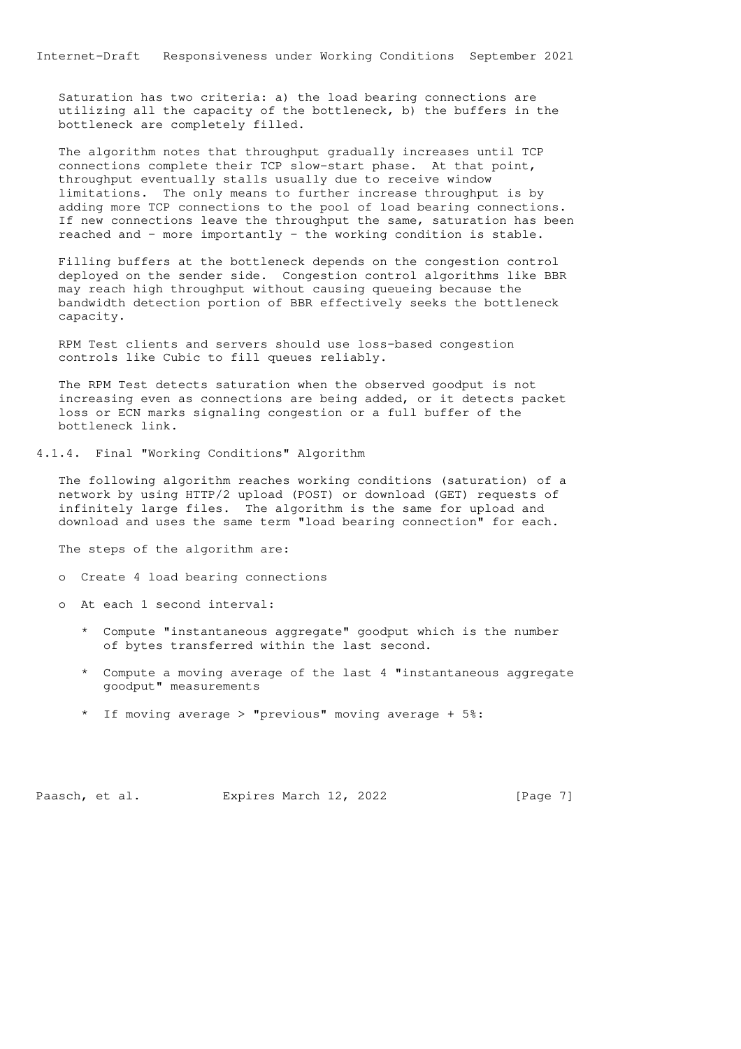Saturation has two criteria: a) the load bearing connections are utilizing all the capacity of the bottleneck, b) the buffers in the bottleneck are completely filled.

 The algorithm notes that throughput gradually increases until TCP connections complete their TCP slow-start phase. At that point, throughput eventually stalls usually due to receive window limitations. The only means to further increase throughput is by adding more TCP connections to the pool of load bearing connections. If new connections leave the throughput the same, saturation has been reached and - more importantly - the working condition is stable.

 Filling buffers at the bottleneck depends on the congestion control deployed on the sender side. Congestion control algorithms like BBR may reach high throughput without causing queueing because the bandwidth detection portion of BBR effectively seeks the bottleneck capacity.

 RPM Test clients and servers should use loss-based congestion controls like Cubic to fill queues reliably.

 The RPM Test detects saturation when the observed goodput is not increasing even as connections are being added, or it detects packet loss or ECN marks signaling congestion or a full buffer of the bottleneck link.

## 4.1.4. Final "Working Conditions" Algorithm

 The following algorithm reaches working conditions (saturation) of a network by using HTTP/2 upload (POST) or download (GET) requests of infinitely large files. The algorithm is the same for upload and download and uses the same term "load bearing connection" for each.

The steps of the algorithm are:

- o Create 4 load bearing connections
- o At each 1 second interval:
	- \* Compute "instantaneous aggregate" goodput which is the number of bytes transferred within the last second.
	- \* Compute a moving average of the last 4 "instantaneous aggregate goodput" measurements
	- \* If moving average > "previous" moving average + 5%:

Paasch, et al. Expires March 12, 2022 [Page 7]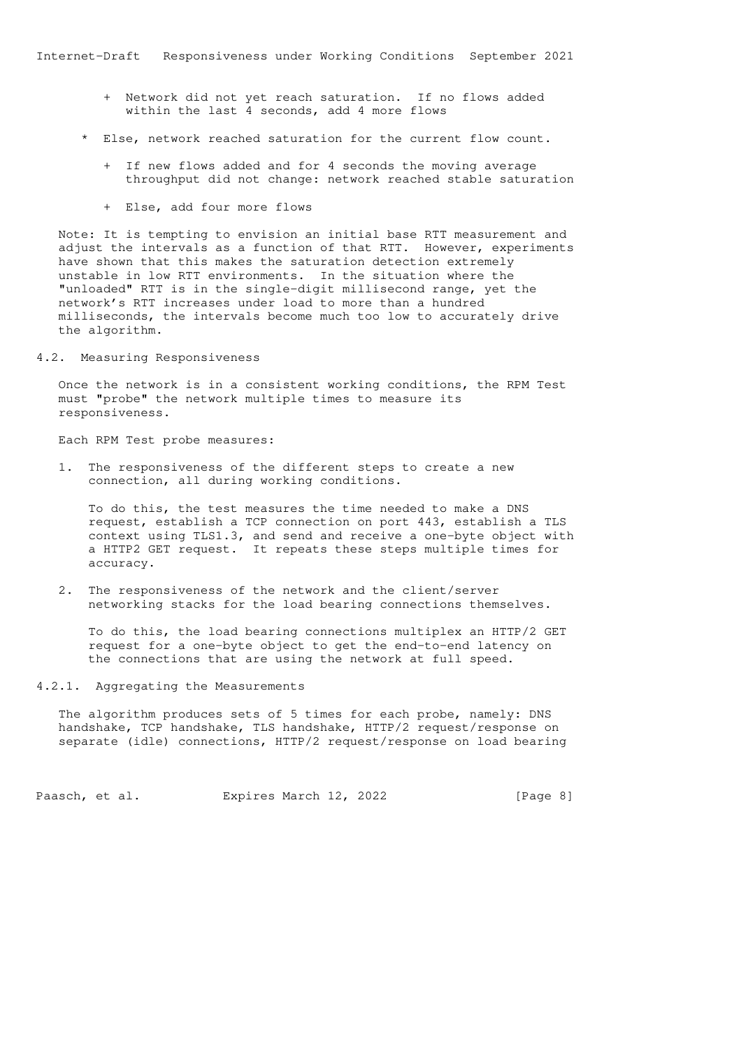- + Network did not yet reach saturation. If no flows added within the last 4 seconds, add 4 more flows
- Else, network reached saturation for the current flow count.
	- + If new flows added and for 4 seconds the moving average throughput did not change: network reached stable saturation
	- + Else, add four more flows

 Note: It is tempting to envision an initial base RTT measurement and adjust the intervals as a function of that RTT. However, experiments have shown that this makes the saturation detection extremely unstable in low RTT environments. In the situation where the "unloaded" RTT is in the single-digit millisecond range, yet the network's RTT increases under load to more than a hundred milliseconds, the intervals become much too low to accurately drive the algorithm.

4.2. Measuring Responsiveness

 Once the network is in a consistent working conditions, the RPM Test must "probe" the network multiple times to measure its responsiveness.

Each RPM Test probe measures:

 1. The responsiveness of the different steps to create a new connection, all during working conditions.

 To do this, the test measures the time needed to make a DNS request, establish a TCP connection on port 443, establish a TLS context using TLS1.3, and send and receive a one-byte object with a HTTP2 GET request. It repeats these steps multiple times for accuracy.

 2. The responsiveness of the network and the client/server networking stacks for the load bearing connections themselves.

 To do this, the load bearing connections multiplex an HTTP/2 GET request for a one-byte object to get the end-to-end latency on the connections that are using the network at full speed.

#### 4.2.1. Aggregating the Measurements

 The algorithm produces sets of 5 times for each probe, namely: DNS handshake, TCP handshake, TLS handshake, HTTP/2 request/response on separate (idle) connections, HTTP/2 request/response on load bearing

Paasch, et al. Expires March 12, 2022 [Page 8]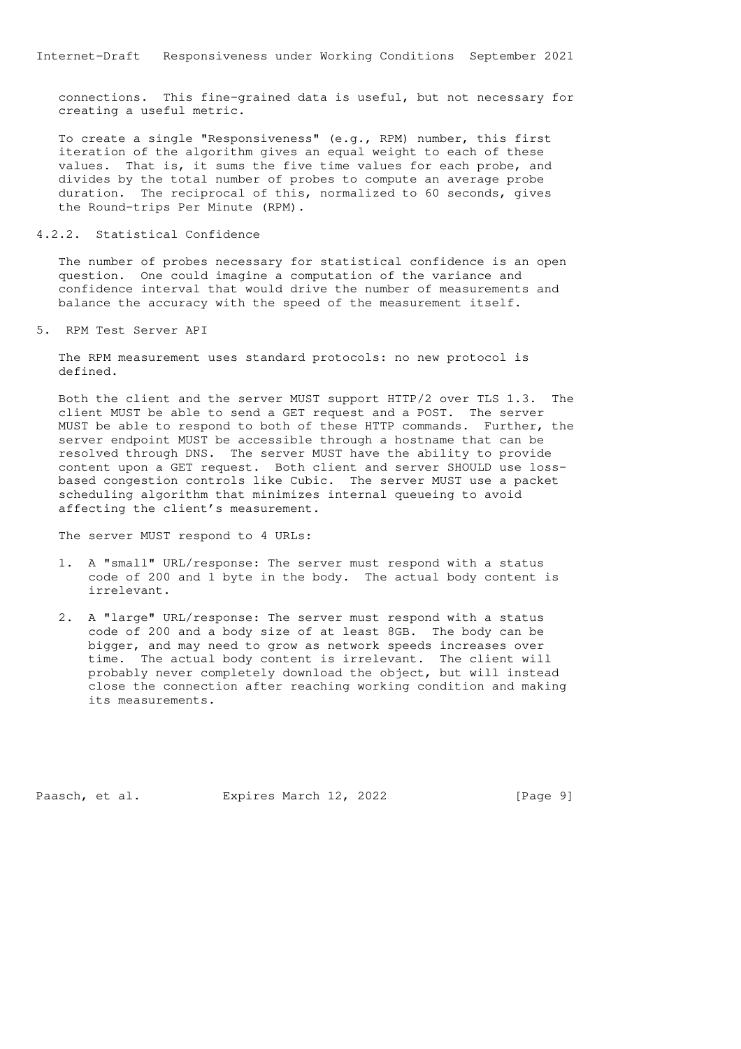connections. This fine-grained data is useful, but not necessary for creating a useful metric.

 To create a single "Responsiveness" (e.g., RPM) number, this first iteration of the algorithm gives an equal weight to each of these values. That is, it sums the five time values for each probe, and divides by the total number of probes to compute an average probe duration. The reciprocal of this, normalized to 60 seconds, gives the Round-trips Per Minute (RPM).

#### 4.2.2. Statistical Confidence

 The number of probes necessary for statistical confidence is an open question. One could imagine a computation of the variance and confidence interval that would drive the number of measurements and balance the accuracy with the speed of the measurement itself.

5. RPM Test Server API

 The RPM measurement uses standard protocols: no new protocol is defined.

 Both the client and the server MUST support HTTP/2 over TLS 1.3. The client MUST be able to send a GET request and a POST. The server MUST be able to respond to both of these HTTP commands. Further, the server endpoint MUST be accessible through a hostname that can be resolved through DNS. The server MUST have the ability to provide content upon a GET request. Both client and server SHOULD use loss based congestion controls like Cubic. The server MUST use a packet scheduling algorithm that minimizes internal queueing to avoid affecting the client's measurement.

The server MUST respond to 4 URLs:

- 1. A "small" URL/response: The server must respond with a status code of 200 and 1 byte in the body. The actual body content is irrelevant.
- 2. A "large" URL/response: The server must respond with a status code of 200 and a body size of at least 8GB. The body can be bigger, and may need to grow as network speeds increases over time. The actual body content is irrelevant. The client will probably never completely download the object, but will instead close the connection after reaching working condition and making its measurements.

Paasch, et al. Expires March 12, 2022 [Page 9]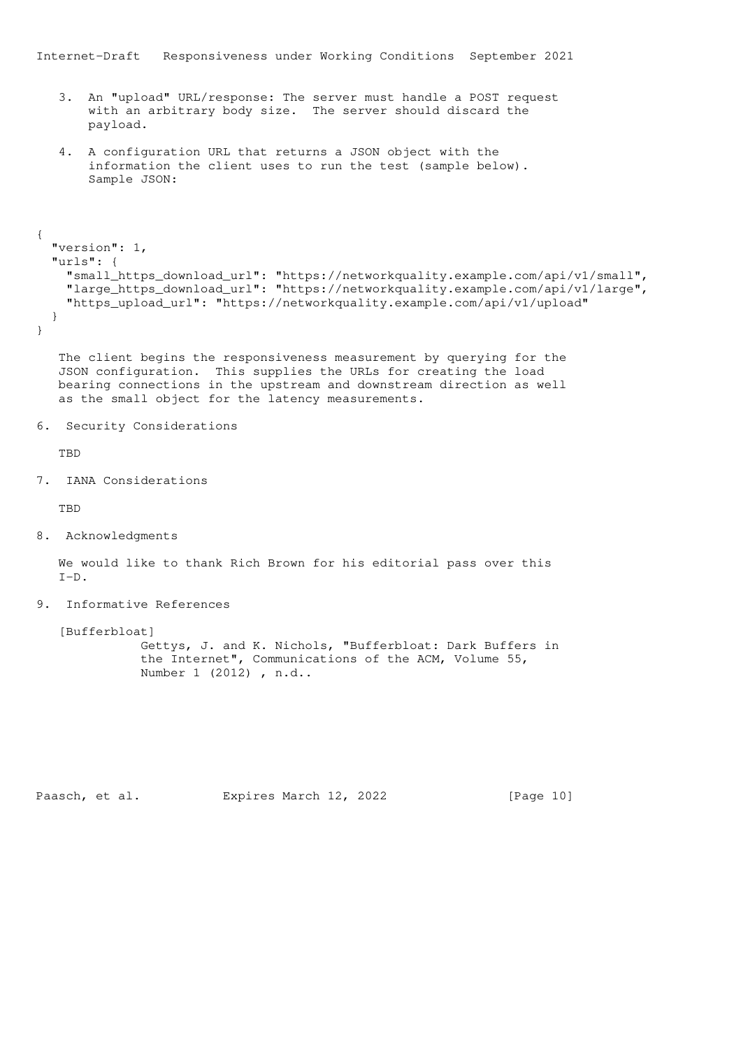- 3. An "upload" URL/response: The server must handle a POST request with an arbitrary body size. The server should discard the payload.
- 4. A configuration URL that returns a JSON object with the information the client uses to run the test (sample below). Sample JSON:

```
{
   "version": 1,
  "urls": {
    "small_https_download_url": "https://networkquality.example.com/api/v1/small",
    "large_https_download_url": "https://networkquality.example.com/api/v1/large",
    "https_upload_url": "https://networkquality.example.com/api/v1/upload"
  }
}
```
 The client begins the responsiveness measurement by querying for the JSON configuration. This supplies the URLs for creating the load bearing connections in the upstream and downstream direction as well as the small object for the latency measurements.

```
6. Security Considerations
```
**TBD** 

7. IANA Considerations

TBD

8. Acknowledgments

 We would like to thank Rich Brown for his editorial pass over this  $T-D$ .

9. Informative References

[Bufferbloat]

 Gettys, J. and K. Nichols, "Bufferbloat: Dark Buffers in the Internet", Communications of the ACM, Volume 55, Number 1 (2012) , n.d..

Paasch, et al. Expires March 12, 2022 [Page 10]